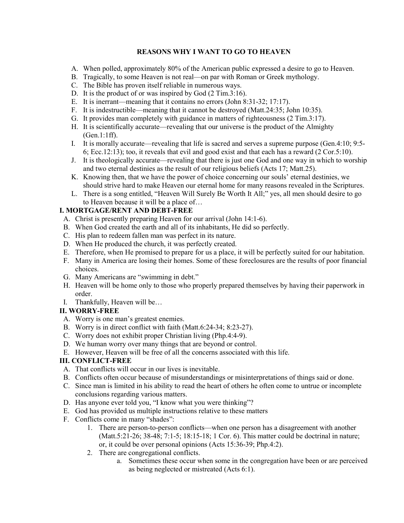## **REASONS WHY I WANT TO GO TO HEAVEN**

- A. When polled, approximately 80% of the American public expressed a desire to go to Heaven.
- B. Tragically, to some Heaven is not real—on par with Roman or Greek mythology.
- C. The Bible has proven itself reliable in numerous ways.
- D. It is the product of or was inspired by God (2 Tim.3:16).
- E. It is inerrant—meaning that it contains no errors (John 8:31-32; 17:17).
- F. It is indestructible—meaning that it cannot be destroyed (Matt.24:35; John 10:35).
- G. It provides man completely with guidance in matters of righteousness (2 Tim.3:17).
- H. It is scientifically accurate—revealing that our universe is the product of the Almighty (Gen.1:1ff).
- I. It is morally accurate—revealing that life is sacred and serves a supreme purpose (Gen.4:10; 9:5- 6; Ecc.12:13); too, it reveals that evil and good exist and that each has a reward (2 Cor.5:10).
- J. It is theologically accurate—revealing that there is just one God and one way in which to worship and two eternal destinies as the result of our religious beliefs (Acts 17; Matt.25).
- K. Knowing then, that we have the power of choice concerning our souls' eternal destinies, we should strive hard to make Heaven our eternal home for many reasons revealed in the Scriptures.
- L. There is a song entitled, "Heaven Will Surely Be Worth It All;" yes, all men should desire to go to Heaven because it will be a place of…

# **I. MORTGAGE/RENT AND DEBT-FREE**

- A. Christ is presently preparing Heaven for our arrival (John 14:1-6).
- B. When God created the earth and all of its inhabitants, He did so perfectly.
- C. His plan to redeem fallen man was perfect in its nature.
- D. When He produced the church, it was perfectly created.
- E. Therefore, when He promised to prepare for us a place, it will be perfectly suited for our habitation.
- F. Many in America are losing their homes. Some of these foreclosures are the results of poor financial choices.
- G. Many Americans are "swimming in debt."
- H. Heaven will be home only to those who properly prepared themselves by having their paperwork in order.
- I. Thankfully, Heaven will be…

# **II. WORRY-FREE**

- A. Worry is one man's greatest enemies.
- B. Worry is in direct conflict with faith (Matt.6:24-34; 8:23-27).
- C. Worry does not exhibit proper Christian living (Php.4:4-9).
- D. We human worry over many things that are beyond or control.
- E. However, Heaven will be free of all the concerns associated with this life.

# **III. CONFLICT-FREE**

- A. That conflicts will occur in our lives is inevitable.
- B. Conflicts often occur because of misunderstandings or misinterpretations of things said or done.
- C. Since man is limited in his ability to read the heart of others he often come to untrue or incomplete conclusions regarding various matters.
- D. Has anyone ever told you, "I know what you were thinking"?
- E. God has provided us multiple instructions relative to these matters
- F. Conflicts come in many "shades":
	- 1. There are person-to-person conflicts—when one person has a disagreement with another (Matt.5:21-26; 38-48; 7:1-5; 18:15-18; 1 Cor. 6). This matter could be doctrinal in nature; or, it could be over personal opinions (Acts 15:36-39; Php.4:2).
	- 2. There are congregational conflicts.
		- a. Sometimes these occur when some in the congregation have been or are perceived as being neglected or mistreated (Acts 6:1).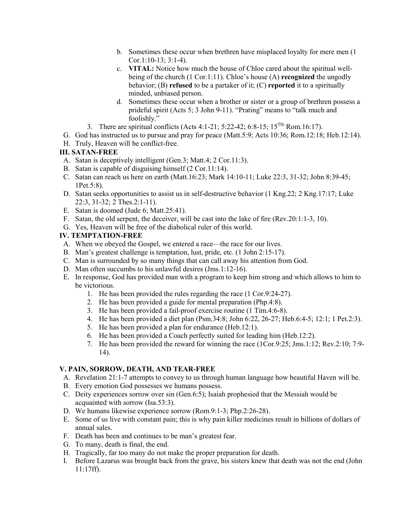- b. Sometimes these occur when brethren have misplaced loyalty for mere men (1 Cor.1:10-13;  $3:1-4$ ).
- c. **VITAL:** Notice how much the house of Chloe cared about the spiritual wellbeing of the church (1 Cor.1:11). Chloe's house (A) **recognized** the ungodly behavior; (B) **refused** to be a partaker of it; (C) **reported** it to a spiritually minded, unbiased person.
- d. Sometimes these occur when a brother or sister or a group of brethren possess a prideful spirit (Acts 5; 3 John 9-11). "Prating" means to "talk much and foolishly."
- 3. There are spiritual conflicts (Acts 4:1-21; 5:22-42; 6:8-15;  $15^{TH}$ ; Rom.16:17).
- G. God has instructed us to pursue and pray for peace (Matt.5:9; Acts 10:36; Rom.12:18; Heb.12:14).
- H. Truly, Heaven will be conflict-free.

## **III. SATAN-FREE**

- A. Satan is deceptively intelligent (Gen.3; Matt.4; 2 Cor.11:3).
- B. Satan is capable of disguising himself (2 Cor.11:14).
- C. Satan can reach us here on earth (Matt.16:23; Mark 14:10-11; Luke 22:3, 31-32; John 8:39-45; 1Pet.5:8).
- D. Satan seeks opportunities to assist us in self-destructive behavior (1 Kng.22; 2 Kng.17:17; Luke 22:3, 31-32; 2 Thes.2:1-11).
- E. Satan is doomed (Jude 6; Matt.25:41).
- F. Satan, the old serpent, the deceiver, will be cast into the lake of fire (Rev.20:1:1-3, 10).
- G. Yes, Heaven will be free of the diabolical ruler of this world.

# **IV. TEMPTATION-FREE**

- A. When we obeyed the Gospel, we entered a race—the race for our lives.
- B. Man's greatest challenge is temptation, lust, pride, etc. (1 John 2:15-17).
- C. Man is surrounded by so many things that can call away his attention from God.
- D. Man often succumbs to his unlawful desires (Jms.1:12-16).
- E. In response, God has provided man with a program to keep him strong and which allows to him to be victorious.
	- 1. He has been provided the rules regarding the race (1 Cor.9:24-27).
	- 2. He has been provided a guide for mental preparation (Php.4:8).
	- 3. He has been provided a fail-proof exercise routine (1 Tim.4:6-8).
	- 4. He has been provided a diet plan (Psm.34:8; John 6:22, 26-27; Heb.6:4-5; 12:1; 1 Pet.2:3).
	- 5. He has been provided a plan for endurance (Heb.12:1).
	- 6. He has been provided a Coach perfectly suited for leading him (Heb.12:2).
	- 7. He has been provided the reward for winning the race (1Cor.9:25; Jms.1:12; Rev.2:10; 7:9- 14).

# **V. PAIN, SORROW, DEATH, AND TEAR-FREE**

- A. Revelation 21:1-7 attempts to convey to us through human language how beautiful Haven will be.
- B. Every emotion God possesses we humans possess.
- C. Deity experiences sorrow over sin (Gen.6:5); Isaiah prophesied that the Messiah would be acquainted with sorrow (Isa.53:3).
- D. We humans likewise experience sorrow (Rom.9:1-3; Php.2:26-28).
- E. Some of us live with constant pain; this is why pain killer medicines result in billions of dollars of annual sales.
- F. Death has been and continues to be man's greatest fear.
- G. To many, death is final, the end.
- H. Tragically, far too many do not make the proper preparation for death.
- I. Before Lazarus was brought back from the grave, his sisters knew that death was not the end (John 11:17ff).